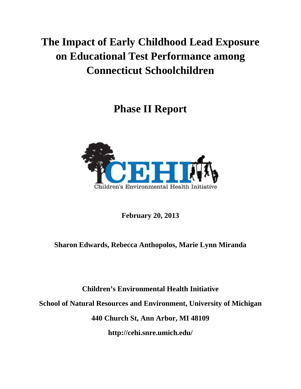# **The Impact of Early Childhood Lead Exposure on Educational Test Performance among Connecticut Schoolchildren**

**Phase II Report** 



**February 20, 2013** 

# **Sharon Edwards, Rebecca Anthopolos, Marie Lynn Miranda**

**Children's Environmental Health Initiative School of Natural Resources and Environment, University of Michigan 440 Church St, Ann Arbor, MI 48109 http://cehi.snre.umich.edu/**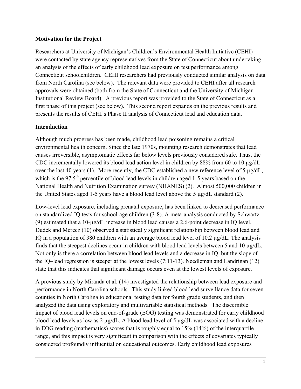#### **Motivation for the Project**

Researchers at University of Michigan's Children's Environmental Health Initiative (CEHI) were contacted by state agency representatives from the State of Connecticut about undertaking an analysis of the effects of early childhood lead exposure on test performance among Connecticut schoolchildren. CEHI researchers had previously conducted similar analysis on data from North Carolina (see below). The relevant data were provided to CEHI after all research approvals were obtained (both from the State of Connecticut and the University of Michigan Institutional Review Board). A previous report was provided to the State of Connecticut as a first phase of this project (see below). This second report expands on the previous results and presents the results of CEHI's Phase II analysis of Connecticut lead and education data.

#### **Introduction**

Although much progress has been made, childhood lead poisoning remains a critical environmental health concern. Since the late 1970s, mounting research demonstrates that lead causes irreversible, asymptomatic effects far below levels previously considered safe. Thus, the CDC incrementally lowered its blood lead action level in children by 88% from 60 to 10 µg/dL over the last 40 years (1). More recently, the CDC established a new reference level of 5 µg/dL, which is the  $97.5<sup>th</sup>$  percentile of blood lead levels in children aged 1-5 years based on the National Health and Nutrition Examination survey (NHANES) (2). Almost 500,000 children in the United States aged 1-5 years have a blood lead level above the 5 µg/dL standard (2).

Low-level lead exposure, including prenatal exposure, has been linked to decreased performance on standardized IQ tests for school-age children (3-8). A meta-analysis conducted by Schwartz (9) estimated that a 10-µg/dL increase in blood lead causes a 2.6-point decrease in IQ level. Dudek and Merecz (10) observed a statistically significant relationship between blood lead and IQ in a population of 380 children with an average blood lead level of 10.2 µg/dL. The analysis finds that the steepest declines occur in children with blood lead levels between 5 and 10 µg/dL. Not only is there a correlation between blood lead levels and a decrease in IQ, but the slope of the IQ–lead regression is steeper at the lowest levels (7;11-13). Needleman and Landrigan (12) state that this indicates that significant damage occurs even at the lowest levels of exposure.

A previous study by Miranda et al. (14) investigated the relationship between lead exposure and performance in North Carolina schools. This study linked blood lead surveillance data for seven counties in North Carolina to educational testing data for fourth grade students, and then analyzed the data using exploratory and multivariable statistical methods. The discernible impact of blood lead levels on end-of-grade (EOG) testing was demonstrated for early childhood blood lead levels as low as 2 µg/dL. A blood lead level of 5 µg/dL was associated with a decline in EOG reading (mathematics) scores that is roughly equal to 15% (14%) of the interquartile range, and this impact is very significant in comparison with the effects of covariates typically considered profoundly influential on educational outcomes. Early childhood lead exposures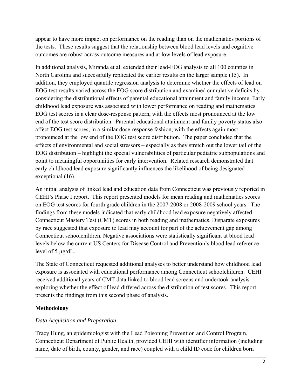appear to have more impact on performance on the reading than on the mathematics portions of the tests. These results suggest that the relationship between blood lead levels and cognitive outcomes are robust across outcome measures and at low levels of lead exposure.

In additional analysis, Miranda et al. extended their lead-EOG analysis to all 100 counties in North Carolina and successfully replicated the earlier results on the larger sample (15). In addition, they employed quantile regression analysis to determine whether the effects of lead on EOG test results varied across the EOG score distribution and examined cumulative deficits by considering the distributional effects of parental educational attainment and family income. Early childhood lead exposure was associated with lower performance on reading and mathematics EOG test scores in a clear dose-response pattern, with the effects most pronounced at the low end of the test score distribution. Parental educational attainment and family poverty status also affect EOG test scores, in a similar dose-response fashion, with the effects again most pronounced at the low end of the EOG test score distribution. The paper concluded that the effects of environmental and social stressors – especially as they stretch out the lower tail of the EOG distribution – highlight the special vulnerabilities of particular pediatric subpopulations and point to meaningful opportunities for early intervention. Related research demonstrated that early childhood lead exposure significantly influences the likelihood of being designated exceptional (16).

An initial analysis of linked lead and education data from Connecticut was previously reported in CEHI's Phase I report. This report presented models for mean reading and mathematics scores on EOG test scores for fourth grade children in the 2007-2008 or 2008-2009 school years. The findings from these models indicated that early childhood lead exposure negatively affected Connecticut Mastery Test (CMT) scores in both reading and mathematics. Disparate exposures by race suggested that exposure to lead may account for part of the achievement gap among Connecticut schoolchildren. Negative associations were statistically significant at blood lead levels below the current US Centers for Disease Control and Prevention's blood lead reference level of  $5 \mu g/dL$ .

The State of Connecticut requested additional analyses to better understand how childhood lead exposure is associated with educational performance among Connecticut schoolchildren. CEHI received additional years of CMT data linked to blood lead screens and undertook analysis exploring whether the effect of lead differed across the distribution of test scores. This report presents the findings from this second phase of analysis.

# **Methodology**

## *Data Acquisition and Preparation*

Tracy Hung, an epidemiologist with the Lead Poisoning Prevention and Control Program, Connecticut Department of Public Health, provided CEHI with identifier information (including name, date of birth, county, gender, and race) coupled with a child ID code for children born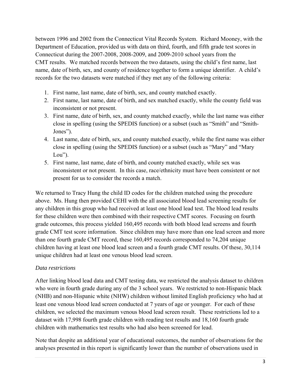between 1996 and 2002 from the Connecticut Vital Records System. Richard Mooney, with the Department of Education, provided us with data on third, fourth, and fifth grade test scores in Connecticut during the 2007-2008, 2008-2009, and 2009-2010 school years from the CMT results. We matched records between the two datasets, using the child's first name, last name, date of birth, sex, and county of residence together to form a unique identifier. A child's records for the two datasets were matched if they met any of the following criteria:

- 1. First name, last name, date of birth, sex, and county matched exactly.
- 2. First name, last name, date of birth, and sex matched exactly, while the county field was inconsistent or not present.
- 3. First name, date of birth, sex, and county matched exactly, while the last name was either close in spelling (using the SPEDIS function) or a subset (such as "Smith" and "Smith-Jones").
- 4. Last name, date of birth, sex, and county matched exactly, while the first name was either close in spelling (using the SPEDIS function) or a subset (such as "Mary" and "Mary  $Lou$ ").
- 5. First name, last name, date of birth, and county matched exactly, while sex was inconsistent or not present. In this case, race/ethnicity must have been consistent or not present for us to consider the records a match.

We returned to Tracy Hung the child ID codes for the children matched using the procedure above. Ms. Hung then provided CEHI with the all associated blood lead screening results for any children in this group who had received at least one blood lead test. The blood lead results for these children were then combined with their respective CMT scores. Focusing on fourth grade outcomes, this process yielded 160,495 records with both blood lead screens and fourth grade CMT test score information. Since children may have more than one lead screen and more than one fourth grade CMT record, these 160,495 records corresponded to 74,204 unique children having at least one blood lead screen and a fourth grade CMT results. Of these, 30,114 unique children had at least one venous blood lead screen.

#### *Data restrictions*

After linking blood lead data and CMT testing data, we restricted the analysis dataset to children who were in fourth grade during any of the 3 school years. We restricted to non-Hispanic black (NHB) and non-Hispanic white (NHW) children without limited English proficiency who had at least one venous blood lead screen conducted at 7 years of age or younger. For each of these children, we selected the maximum venous blood lead screen result. These restrictions led to a dataset with 17,998 fourth grade children with reading test results and 18,160 fourth grade children with mathematics test results who had also been screened for lead.

Note that despite an additional year of educational outcomes, the number of observations for the analyses presented in this report is significantly lower than the number of observations used in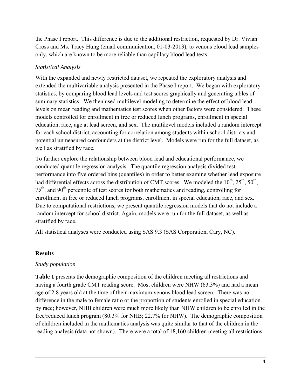the Phase I report. This difference is due to the additional restriction, requested by Dr. Vivian Cross and Ms. Tracy Hung (email communication, 01-03-2013), to venous blood lead samples only, which are known to be more reliable than capillary blood lead tests.

# *Statistical Analysis*

With the expanded and newly restricted dataset, we repeated the exploratory analysis and extended the multivariable analysis presented in the Phase I report. We began with exploratory statistics, by comparing blood lead levels and test scores graphically and generating tables of summary statistics. We then used multilevel modeling to determine the effect of blood lead levels on mean reading and mathematics test scores when other factors were considered. These models controlled for enrollment in free or reduced lunch programs, enrollment in special education, race, age at lead screen, and sex. The multilevel models included a random intercept for each school district, accounting for correlation among students within school districts and potential unmeasured confounders at the district level. Models were run for the full dataset, as well as stratified by race.

To further explore the relationship between blood lead and educational performance, we conducted quantile regression analysis. The quantile regression analysis divided test performance into five ordered bins (quantiles) in order to better examine whether lead exposure had differential effects across the distribution of CMT scores. We modeled the  $10^{th}$ ,  $25^{th}$ ,  $50^{th}$ ,  $75<sup>th</sup>$ , and 90<sup>th</sup> percentile of test scores for both mathematics and reading, controlling for enrollment in free or reduced lunch programs, enrollment in special education, race, and sex. Due to computational restrictions, we present quantile regression models that do not include a random intercept for school district. Again, models were run for the full dataset, as well as stratified by race.

All statistical analyses were conducted using SAS 9.3 (SAS Corporation, Cary, NC).

## **Results**

## *Study population*

**Table 1** presents the demographic composition of the children meeting all restrictions and having a fourth grade CMT reading score. Most children were NHW (63.3%) and had a mean age of 2.8 years old at the time of their maximum venous blood lead screen. There was no difference in the male to female ratio or the proportion of students enrolled in special education by race; however, NHB children were much more likely than NHW children to be enrolled in the free/reduced lunch program (80.3% for NHB; 22.7% for NHW). The demographic composition of children included in the mathematics analysis was quite similar to that of the children in the reading analysis (data not shown). There were a total of 18,160 children meeting all restrictions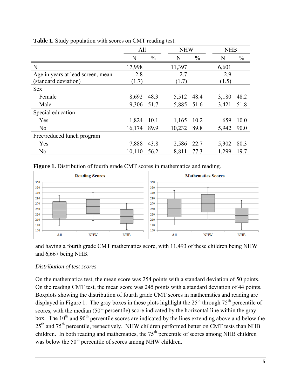|                                   | All        |               | <b>NHW</b> |               | <b>NHB</b> |               |
|-----------------------------------|------------|---------------|------------|---------------|------------|---------------|
|                                   | N          | $\frac{0}{0}$ | N          | $\frac{0}{0}$ | N          | $\frac{0}{0}$ |
| N                                 | 17,998     |               | 11,397     |               | 6,601      |               |
| Age in years at lead screen, mean | 2.8        |               | 2.7        |               | 2.9        |               |
| (standard deviation)              | (1.7)      |               | (1.7)      |               | (1.5)      |               |
| <b>Sex</b>                        |            |               |            |               |            |               |
| Female                            | 8,692      | 48.3          | 5,512 48.4 |               | 3,180      | 48.2          |
| Male                              | 9,306 51.7 |               | 5,885 51.6 |               | 3,421      | 51.8          |
| Special education                 |            |               |            |               |            |               |
| Yes                               | 1,824      | 10.1          | 1,165      | 10.2          | 659        | 10.0          |
| N <sub>0</sub>                    | 16,174     | 89.9          | 10,232     | 89.8          | 5,942      | 90.0          |
| Free/reduced lunch program        |            |               |            |               |            |               |
| Yes                               | 7,888      | 43.8          | 2,586      | 22.7          | 5,302      | 80.3          |
| N <sub>o</sub>                    | 10,110     | 56.2          | 8,811      | 77.3          | 1,299      | 19.7          |

**Table 1.** Study population with scores on CMT reading test.

#### **Figure 1.** Distribution of fourth grade CMT scores in mathematics and reading.



and having a fourth grade CMT mathematics score, with 11,493 of these children being NHW and 6,667 being NHB.

#### *Distribution of test scores*

On the mathematics test, the mean score was 254 points with a standard deviation of 50 points. On the reading CMT test, the mean score was 245 points with a standard deviation of 44 points. Boxplots showing the distribution of fourth grade CMT scores in mathematics and reading are displayed in Figure 1. The gray boxes in these plots highlight the  $25<sup>th</sup>$  through  $75<sup>th</sup>$  percentile of scores, with the median  $(50<sup>th</sup>$  percentile) score indicated by the horizontal line within the gray box. The  $10<sup>th</sup>$  and  $90<sup>th</sup>$  percentile scores are indicated by the lines extending above and below the 25<sup>th</sup> and 75<sup>th</sup> percentile, respectively. NHW children performed better on CMT tests than NHB children. In both reading and mathematics, the  $75<sup>th</sup>$  percentile of scores among NHB children was below the  $50<sup>th</sup>$  percentile of scores among NHW children.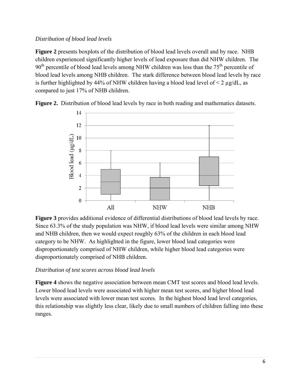#### *Distribution of blood lead levels*

**Figure 2** presents boxplots of the distribution of blood lead levels overall and by race. NHB children experienced significantly higher levels of lead exposure than did NHW children. The  $90<sup>th</sup>$  percentile of blood lead levels among NHW children was less than the 75<sup>th</sup> percentile of blood lead levels among NHB children. The stark difference between blood lead levels by race is further highlighted by 44% of NHW children having a blood lead level of  $\leq 2 \mu g/dL$ , as compared to just 17% of NHB children.



**Figure 2.** Distribution of blood lead levels by race in both reading and mathematics datasets.

**Figure 3** provides additional evidence of differential distributions of blood lead levels by race. Since 63.3% of the study population was NHW, if blood lead levels were similar among NHW and NHB children, then we would expect roughly 63% of the children in each blood lead category to be NHW. As highlighted in the figure, lower blood lead categories were disproportionately comprised of NHW children, while higher blood lead categories were disproportionately comprised of NHB children.

## *Distribution of test scores across blood lead levels*

**Figure 4** shows the negative association between mean CMT test scores and blood lead levels. Lower blood lead levels were associated with higher mean test scores, and higher blood lead levels were associated with lower mean test scores. In the highest blood lead level categories, this relationship was slightly less clear, likely due to small numbers of children falling into these ranges.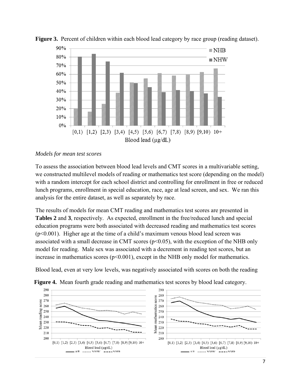

**Figure 3.** Percent of children within each blood lead category by race group (reading dataset).

#### *Models for mean test scores*

To assess the association between blood lead levels and CMT scores in a multivariable setting, we constructed multilevel models of reading or mathematics test score (depending on the model) with a random intercept for each school district and controlling for enrollment in free or reduced lunch programs, enrollment in special education, race, age at lead screen, and sex. We ran this analysis for the entire dataset, as well as separately by race.

The results of models for mean CMT reading and mathematics test scores are presented in **Tables 2** and **3**, respectively. As expected, enrollment in the free/reduced lunch and special education programs were both associated with decreased reading and mathematics test scores (p<0.001). Higher age at the time of a child's maximum venous blood lead screen was associated with a small decrease in CMT scores ( $p<0.05$ ), with the exception of the NHB only model for reading. Male sex was associated with a decrement in reading test scores, but an increase in mathematics scores (p<0.001), except in the NHB only model for mathematics.

Blood lead, even at very low levels, was negatively associated with scores on both the reading



**Figure 4.** Mean fourth grade reading and mathematics test scores by blood lead category.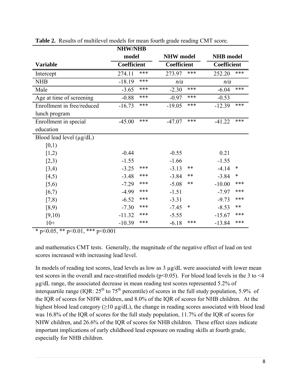|                               | <b>NHW/NHB</b> |     |                  |        |                    |        |
|-------------------------------|----------------|-----|------------------|--------|--------------------|--------|
|                               | model          |     | <b>NHW</b> model |        | <b>NHB</b> model   |        |
| <b>Variable</b>               | Coefficient    |     | Coefficient      |        | <b>Coefficient</b> |        |
| Intercept                     | 274.11         | *** | 273.97           | ***    | 252.20             | ***    |
| <b>NHB</b>                    | $-18.19$       | *** | n/a              |        | n/a                |        |
| Male                          | $-3.65$        | *** | $-2.30$          | ***    | $-6.04$            | ***    |
| Age at time of screening      | $-0.88$        | *** | $-0.97$          | ***    | $-0.53$            |        |
| Enrollment in free/reduced    | $-16.73$       | *** | $-19.05$         | ***    | $-12.39$           | ***    |
| lunch program                 |                |     |                  |        |                    |        |
| Enrollment in special         | $-45.00$       | *** | $-47.07$         | ***    | $-41.22$           | ***    |
| education                     |                |     |                  |        |                    |        |
| Blood lead level $(\mu g/dL)$ |                |     |                  |        |                    |        |
| [0,1)                         |                |     |                  |        |                    |        |
| [1,2)                         | $-0.44$        |     | $-0.55$          |        | 0.21               |        |
| [2,3)                         | $-1.55$        |     | $-1.66$          |        | $-1.55$            |        |
| [3,4)                         | $-3.25$        | *** | $-3.13$          | **     | $-4.14$            | $\ast$ |
| [4,5)                         | $-3.48$        | *** | $-3.84$          | $***$  | $-3.84$            | $\ast$ |
| [5,6)                         | $-7.29$        | *** | $-5.08$          | **     | $-10.00$           | ***    |
| [6,7)                         | $-4.99$        | *** | $-1.51$          |        | $-7.97$            | ***    |
| [7,8)                         | $-6.52$        | *** | $-3.31$          |        | $-9.73$            | ***    |
| [8,9)                         | $-7.30$        | *** | $-7.45$          | $\ast$ | $-8.53$            | $***$  |
| [9,10)                        | $-11.32$       | *** | $-5.55$          |        | $-15.67$           | ***    |
| $10+$                         | $-10.39$       | *** | $-6.18$          | ***    | $-13.84$           | ***    |

**Table 2.** Results of multilevel models for mean fourth grade reading CMT score.

\* p<0.05, \*\* p<0.01, \*\*\* p<0.001

and mathematics CMT tests. Generally, the magnitude of the negative effect of lead on test scores increased with increasing lead level.

In models of reading test scores, lead levels as low as 3 µg/dL were associated with lower mean test scores in the overall and race-stratified models ( $p<0.05$ ). For blood lead levels in the 3 to  $\leq 4$ µg/dL range, the associated decrease in mean reading test scores represented 5.2% of interquartile range (IQR:  $25<sup>th</sup>$  to  $75<sup>th</sup>$  percentile) of scores in the full study population, 5.9% of the IQR of scores for NHW children, and 8.0% of the IQR of scores for NHB children. At the highest blood lead category ( $\geq$ 10 µg/dL), the change in reading scores associated with blood lead was 16.8% of the IQR of scores for the full study population, 11.7% of the IQR of scores for NHW children, and 26.6% of the IQR of scores for NHB children. These effect sizes indicate important implications of early childhood lead exposure on reading skills at fourth grade, especially for NHB children.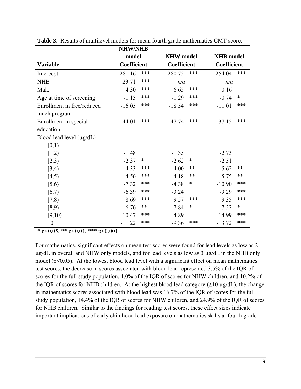|                               | <b>NHW/NHB</b>     |        |                    |        |                    |        |
|-------------------------------|--------------------|--------|--------------------|--------|--------------------|--------|
|                               | model              |        | <b>NHW</b> model   |        | <b>NHB</b> model   |        |
| <b>Variable</b>               | <b>Coefficient</b> |        | <b>Coefficient</b> |        | <b>Coefficient</b> |        |
| Intercept                     | 281.16             | ***    | 280.75             | ***    | 254.04             | ***    |
| <b>NHB</b>                    | $-23.71$           | ***    | n/a                |        | n/a                |        |
| Male                          | 4.30               | ***    | 6.65               | ***    | 0.16               |        |
| Age at time of screening      | $-1.15$            | ***    | $-1.29$            | ***    | $-0.74$            | $\ast$ |
| Enrollment in free/reduced    | $-16.05$           | ***    | $-18.54$           | ***    | $-11.01$           | ***    |
| lunch program                 |                    |        |                    |        |                    |        |
| Enrollment in special         | $-44.01$           | ***    | $-47.74$           | ***    | $-37.15$           | ***    |
| education                     |                    |        |                    |        |                    |        |
| Blood lead level $(\mu g/dL)$ |                    |        |                    |        |                    |        |
| [0,1)                         |                    |        |                    |        |                    |        |
| [1,2)                         | $-1.48$            |        | $-1.35$            |        | $-2.73$            |        |
| [2,3)                         | $-2.37$            | $\ast$ | $-2.62$            | $\ast$ | $-2.51$            |        |
| [3,4)                         | $-4.33$            | ***    | $-4.00$            | $***$  | $-5.62$            | $**$   |
| [4,5)                         | $-4.56$            | ***    | $-4.18$            | $***$  | $-5.75$            | $***$  |
| [5,6)                         | $-7.32$            | ***    | $-4.38$            | $\ast$ | $-10.90$           | ***    |
| [6,7)                         | $-6.39$            | ***    | $-3.24$            |        | $-9.29$            | ***    |
| [7,8)                         | $-8.69$            | ***    | $-9.57$            | ***    | $-9.35$            | ***    |
| [8,9)                         | $-6.76$            | $***$  | $-7.84$            | $\ast$ | $-7.32$            | $\ast$ |
| [9,10)                        | $-10.47$           | ***    | $-4.89$            |        | $-14.99$           | ***    |
| $10+$                         | $-11.22$           | ***    | $-9.36$            | ***    | $-13.72$           | ***    |

**Table 3.** Results of multilevel models for mean fourth grade mathematics CMT score.

 $*$  p<0.05,  $*$  p <0.01,  $*$   $*$  p <0.001

For mathematics, significant effects on mean test scores were found for lead levels as low as 2 µg/dL in overall and NHW only models, and for lead levels as low as 3 µg/dL in the NHB only model ( $p<0.05$ ). At the lowest blood lead level with a significant effect on mean mathematics test scores, the decrease in scores associated with blood lead represented 3.5% of the IQR of scores for the full study population, 4.0% of the IQR of scores for NHW children, and 10.2% of the IQR of scores for NHB children. At the highest blood lead category ( $\geq$ 10 µg/dL), the change in mathematics scores associated with blood lead was 16.7% of the IQR of scores for the full study population, 14.4% of the IQR of scores for NHW children, and 24.9% of the IQR of scores for NHB children. Similar to the findings for reading test scores, these effect sizes indicate important implications of early childhood lead exposure on mathematics skills at fourth grade.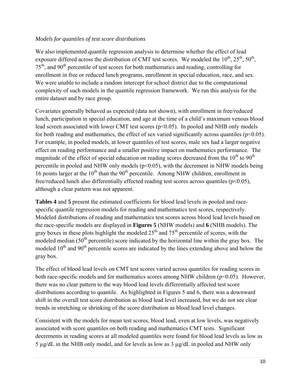#### *Models for quantiles of test score distributions*

We also implemented quantile regression analysis to determine whether the effect of lead exposure differed across the distribution of CMT test scores. We modeled the  $10^{th}$ ,  $25^{th}$ ,  $50^{th}$ ,  $75<sup>th</sup>$ , and 90<sup>th</sup> percentile of test scores for both mathematics and reading, controlling for enrollment in free or reduced lunch programs, enrollment in special education, race, and sex. We were unable to include a random intercept for school district due to the computational complexity of such models in the quantile regression framework. We ran this analysis for the entire dataset and by race group.

Covariates generally behaved as expected (data not shown), with enrollment in free/reduced lunch, participation in special education, and age at the time of a child's maximum venous blood lead screen associated with lower CMT test scores (p<0.05). In pooled and NHB only models for both reading and mathematics, the effect of sex varied significantly across quantiles ( $p<0.05$ ). For example, in pooled models, at lower quantiles of test scores, male sex had a larger negative effect on reading performance and a smaller positive impact on mathematics performance. The magnitude of the effect of special education on reading scores decreased from the  $10<sup>th</sup>$  to  $90<sup>th</sup>$ percentile in pooled and NHW only models (p<0.05), with the decrement in NHW models being 16 points larger at the  $10<sup>th</sup>$  than the  $90<sup>th</sup>$  percentile. Among NHW children, enrollment in free/reduced lunch also differentially effected reading test scores across quantiles ( $p<0.05$ ), although a clear pattern was not apparent.

**Tables 4** and **5** present the estimated coefficients for blood lead levels in pooled and racespecific quantile regression models for reading and mathematics test scores, respectively. Modeled distributions of reading and mathematics test scores across blood lead levels based on the race-specific models are displayed in **Figures 5** (NHW models) and **6** (NHB models). The gray boxes in these plots highlight the modeled  $25<sup>th</sup>$  and  $75<sup>th</sup>$  percentile of scores, with the modeled median  $(50<sup>th</sup>$  percentile) score indicated by the horizontal line within the gray box. The modeled  $10<sup>th</sup>$  and  $90<sup>th</sup>$  percentile scores are indicated by the lines extending above and below the gray box.

The effect of blood lead levels on CMT test scores varied across quantiles for reading scores in both race-specific models and for mathematics scores among NHW children  $(p<0.05)$ . However, there was no clear pattern to the way blood lead levels differentially affected test score distributions according to quantile. As highlighted in Figures 5 and 6, there was a downward shift in the overall test score distribution as blood lead level increased, but we do not see clear trends in stretching or shrinking of the score distribution as blood lead level changes.

Consistent with the models for mean test scores, blood lead, even at low levels, was negatively associated with score quantiles on both reading and mathematics CMT tests. Significant decrements in reading scores at all modeled quantiles were found for blood lead levels as low as  $5 \mu g/dL$  in the NHB only model, and for levels as low as  $3 \mu g/dL$  in pooled and NHW only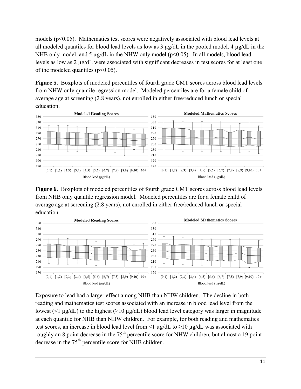models  $(p<0.05)$ . Mathematics test scores were negatively associated with blood lead levels at all modeled quantiles for blood lead levels as low as 3 µg/dL in the pooled model, 4 µg/dL in the NHB only model, and 5  $\mu$ g/dL in the NHW only model ( $p$ <0.05). In all models, blood lead levels as low as 2 µg/dL were associated with significant decreases in test scores for at least one of the modeled quantiles ( $p<0.05$ ).

**Figure 5.** Boxplots of modeled percentiles of fourth grade CMT scores across blood lead levels from NHW only quantile regression model. Modeled percentiles are for a female child of average age at screening (2.8 years), not enrolled in either free/reduced lunch or special education.



**Figure 6.** Boxplots of modeled percentiles of fourth grade CMT scores across blood lead levels from NHB only quantile regression model. Modeled percentiles are for a female child of average age at screening (2.8 years), not enrolled in either free/reduced lunch or special education.



Exposure to lead had a larger effect among NHB than NHW children. The decline in both reading and mathematics test scores associated with an increase in blood lead level from the lowest (<1  $\mu$ g/dL) to the highest ( $\geq$ 10  $\mu$ g/dL) blood lead level category was larger in magnitude at each quantile for NHB than NHW children. For example, for both reading and mathematics test scores, an increase in blood lead level from <1  $\mu$ g/dL to  $\geq$ 10  $\mu$ g/dL was associated with roughly an 8 point decrease in the 75<sup>th</sup> percentile score for NHW children, but almost a 19 point decrease in the 75<sup>th</sup> percentile score for NHB children.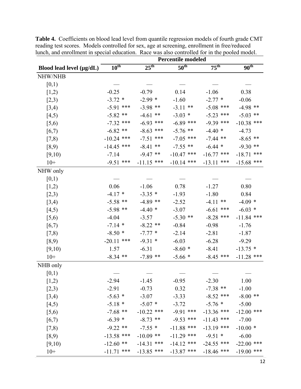|                               | <b>Percentile modeled</b> |                  |                  |                  |                  |  |  |
|-------------------------------|---------------------------|------------------|------------------|------------------|------------------|--|--|
| Blood lead level $(\mu g/dL)$ | $10^{\text{th}}$          | $25^{\text{th}}$ | 50 <sup>th</sup> | $75^{\text{th}}$ | $90^{\text{th}}$ |  |  |
| <b>NHW/NHB</b>                |                           |                  |                  |                  |                  |  |  |
| [0,1)                         |                           |                  |                  |                  |                  |  |  |
| [1,2)                         | $-0.25$                   | $-0.79$          | 0.14             | $-1.06$          | 0.38             |  |  |
| [2,3)                         | $-3.72$ *                 | $-2.99*$         | $-1.60$          | $-2.77*$         | $-0.06$          |  |  |
| [3,4)                         | $-5.91$ ***               | $-3.98$ **       | $-3.11$ **       | $-5.08$ ***      | $-4.98$ **       |  |  |
| [4,5)                         | $-5.82$ **                | $-4.61$ **       | $-3.03$ *        | $-5.23$ ***      | $-5.03$ **       |  |  |
| [5,6)                         | $-7.32$ ***               | $-6.93$ ***      | $-6.89$ ***      | $-9.39$ ***      | $-10.38$ ***     |  |  |
| [6,7)                         | $-6.82$ **                | $-8.63$ ***      | $-5.76$ **       | $-4.40*$         | $-4.73$          |  |  |
| [7,8)                         | $-10.24$ ***              | $-7.51$ ***      | $-7.05$ ***      | $-7.44$ **       | $-8.65$ **       |  |  |
| [8,9)                         | $-14.45$ ***              | $-8.41$ **       | $-7.55$ **       | $-6.44$ *        | $-9.30**$        |  |  |
| [9,10)                        | $-7.14$                   | $-9.47**$        | $-10.47$ ***     | $-16.77$ ***     | $-18.71$ ***     |  |  |
| $10+$                         | $-9.51$ ***               | $-11.15$ ***     | $-10.14$ ***     | $-13.11$ ***     | $-15.68$ ***     |  |  |
| NHW only                      |                           |                  |                  |                  |                  |  |  |
| [0,1)                         |                           |                  |                  |                  |                  |  |  |
| [1,2)                         | 0.06                      | $-1.06$          | 0.78             | $-1.27$          | 0.80             |  |  |
| [2,3)                         | $-4.17*$                  | $-3.35$ *        | $-1.93$          | $-1.80$          | 0.84             |  |  |
| [3,4)                         | $-5.58$ **                | $-4.89$ **       | $-2.52$          | $-4.11$ **       | $-4.09*$         |  |  |
| [4,5)                         | $-5.98$ **                | $-4.40*$         | $-3.07$          | $-6.61$ ***      | $-6.03*$         |  |  |
| [5,6)                         | $-4.04$                   | $-3.57$          | $-5.30$ **       | $-8.28$ ***      | $-11.84$ ***     |  |  |
| [6,7)                         | $-7.14$ *                 | $-8.22$ **       | $-0.84$          | $-0.98$          | $-1.76$          |  |  |
| [7,8)                         | $-8.50*$                  | $-7.77*$         | $-2.14$          | $-2.81$          | $-1.87$          |  |  |
| [8,9)                         | $-20.11$ ***              | $-9.31*$         | $-6.03$          | $-6.28$          | $-9.29$          |  |  |
| [9,10)                        | 1.57                      | $-6.31$          | $-8.60*$         | $-8.41$          | $-13.75$ *       |  |  |
| $10+$                         | $-8.34$ **                | $-7.89$ **       | $-5.66*$         | $-8.45$ ***      | $-11.28$ ***     |  |  |
| NHB only                      |                           |                  |                  |                  |                  |  |  |
| [0,1)                         |                           |                  |                  |                  |                  |  |  |
| [1,2)                         | $-2.94$                   | $-1.45$          | $-0.95$          | $-2.30$          | 1.00             |  |  |
| [2,3)                         | $-2.91$                   | $-0.73$          | 0.32             | $-7.38$ **       | $-1.00$          |  |  |
| [3,4)                         | $-5.63$ *                 | $-3.07$          | $-3.33$          | $-8.52$ ***      | $-8.00$ **       |  |  |
| [4,5)                         | $-5.18*$                  | $-5.07*$         | $-3.72$          | $-5.76$ *        | $-5.00$          |  |  |
| [5,6)                         | $-7.68$ **                | $-10.22$ ***     | $-9.91$ ***      | $-13.36$ ***     | $-12.00$ ***     |  |  |
| [6,7)                         | $-6.39*$                  | $-8.73$ **       | $-9.53$ ***      | $-11.43$ ***     | $-7.00$          |  |  |
| [7,8)                         | $-9.22$ **                | $-7.55$ *        | $-11.88$ ***     | $-13.19$ ***     | $-10.00*$        |  |  |
| [8,9)                         | $-13.58$ ***              | $-10.09$ **      | $-11.29$ ***     | $-9.51$ *        | $-6.00$          |  |  |
| [9,10)                        | $-12.60$ **               | $-14.31$ ***     | $-14.12$ ***     | $-24.55$ ***     | $-22.00$ ***     |  |  |
| $10+$                         | $-11.71$ ***              | $-13.85$ ***     | $-13.87$ ***     | $-18.46$ ***     | $-19.00$ ***     |  |  |

**Table 4.** Coefficients on blood lead level from quantile regression models of fourth grade CMT reading test scores. Models controlled for sex, age at screening, enrollment in free/reduced lunch, and enrollment in special education. Race was also controlled for in the pooled model.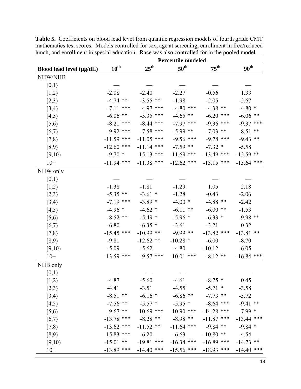|                          | <b>Percentile modeled</b> |                                |                                      |                         |                  |  |  |
|--------------------------|---------------------------|--------------------------------|--------------------------------------|-------------------------|------------------|--|--|
| Blood lead level (µg/dL) | $10^{\text{th}}$          | $25^{\text{th}}$               | $50^{\text{th}}$<br>$75^{\text{th}}$ |                         | $90^{\text{th}}$ |  |  |
| <b>NHW/NHB</b>           |                           |                                |                                      |                         |                  |  |  |
| [0,1)                    |                           |                                |                                      |                         |                  |  |  |
| [1,2)                    | $-2.08$                   | $-2.40$                        | $-2.27$                              | $-0.56$                 | 1.33             |  |  |
| [2,3)                    | $-4.74$ **                | $-3.55$ **                     | $-1.98$                              | $-2.05$                 | $-2.67$          |  |  |
| [3,4)                    | $-7.11$ ***               | $-4.97$ ***                    | $-4.80$ ***                          | $-4.38$ **              | $-4.80*$         |  |  |
| [4,5)                    | $-6.06$ **                | $-5.35$ ***                    | $-4.65$ **                           | $-6.20$ ***             | $-6.06$ **       |  |  |
| [5,6)                    | $-8.21$ ***               | $-8.44$ ***                    | $-7.97$ ***                          | $-9.36$ ***             | $-9.37$ ***      |  |  |
| [6,7)                    | $-9.92$ ***               | $-7.58$ ***                    | $-5.99$ **                           | $-7.03$ **              | $-8.51$ **       |  |  |
| [7,8)                    | $-11.59$ ***              | $-11.05$ ***                   | $-9.56$ ***                          | $-9.78$ ***             | $-9.43$ **       |  |  |
| [8,9)                    | $-12.60$ ***              | $-11.14$ ***                   | $-7.59$ **                           | $-7.32$ *               | $-5.58$          |  |  |
| [9,10)                   | $-9.70*$                  | $-15.13$ ***                   | $-11.69$ ***                         | $-13.49$ ***            | $-12.59$ **      |  |  |
| $10+$                    | $-11.94$ ***              | $-11.38$ ***                   | $-12.62$ ***                         | $-13.15$ ***            | $-15.64$ ***     |  |  |
| NHW only                 |                           |                                |                                      |                         |                  |  |  |
| [0,1)                    |                           |                                |                                      |                         |                  |  |  |
| [1,2)                    | $-1.38$                   | $-1.81$                        | $-1.29$                              | 1.05                    | 2.18             |  |  |
| [2,3)                    | $-5.35$ **                | $-3.61$ *                      | $-1.28$                              | $-0.43$                 | $-2.06$          |  |  |
| [3,4)                    | $-7.19$ ***               | $-3.89*$                       | $-4.00*$                             | $-4.88$ **              | $-2.42$          |  |  |
| [4,5)                    | $-4.96*$                  | $-4.62$ *                      | $-6.11$ **                           | $-6.00**$               | $-1.53$          |  |  |
| [5,6)                    | $-8.52$ **                | $-5.49*$                       | $-5.96*$                             | $-6.33*$                | $-9.98$ **       |  |  |
| [6,7)                    | $-6.80$                   | $-6.35$ *                      | $-3.61$                              | $-3.21$                 | 0.32             |  |  |
| [7,8)                    | $-15.45$ ***              | $-10.99$ **                    | $-9.99$ **                           | $-13.82$ ***            | $-13.81$ **      |  |  |
| [8,9)                    | $-9.81$                   | $-12.62$ **                    | $-10.28$ *                           | $-6.00$                 | $-8.70$          |  |  |
| [9,10)                   | $-5.09$                   | $-5.62$                        | $-4.80$                              | $-10.12$                | $-6.05$          |  |  |
| $10+$                    | $-13.59$ ***              | $-9.57$ ***                    | $-10.01$ ***                         | $-8.12**$               | $-16.84$ ***     |  |  |
| NHB only                 |                           |                                |                                      |                         |                  |  |  |
| [0,1)                    |                           |                                |                                      |                         |                  |  |  |
| [1,2)                    | $-4.87$                   | $-5.60$                        | $-4.61$                              | $-8.75$ *               | 0.45             |  |  |
| [2,3)                    | $-4.41$                   | $-3.51$                        | $-4.55$                              | $-5.71$ *               | $-3.58$          |  |  |
| [3,4)                    | $-8.51$ **                | $-6.16*$                       | $-6.86$ **                           | $-7.73$ **              | $-5.72$          |  |  |
| [4,5)                    |                           | $-7.56$ ** $-5.57$ * $-5.95$ * |                                      | $-8.64$ ***             | $-9.41$ **       |  |  |
| [5,6)                    | $-9.67$ **                | $-10.69$ ***                   | $-10.90$ ***                         | $-14.28$ ***            | $-7.99*$         |  |  |
| [6,7)                    | $-13.78$ ***              | $-8.28$ **                     | $-8.98$ **                           | $-11.87$ ***            | $-13.44$ ***     |  |  |
| [7,8)                    | $-13.62$ ***              | $-11.52$ **                    |                                      | $-11.64$ *** $-9.84$ ** | $-9.84*$         |  |  |
| [8,9)                    | $-15.83$ ***              | $-6.20$                        | $-6.63$                              | $-10.80$ ** $-4.54$     |                  |  |  |
| [9,10)                   | $-15.01$ **               | $-19.81$ ***                   | $-16.34$ ***                         | $-16.89$ ***            | $-14.73$ **      |  |  |
| $10+$                    | $-13.89$ ***              | $-14.40$ ***                   | $-15.56$ ***                         | $-18.93$ ***            | $-14.40$ ***     |  |  |

**Table 5.** Coefficients on blood lead level from quantile regression models of fourth grade CMT mathematics test scores. Models controlled for sex, age at screening, enrollment in free/reduced lunch, and enrollment in special education. Race was also controlled for in the pooled model.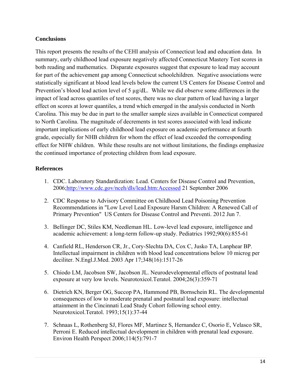#### **Conclusions**

This report presents the results of the CEHI analysis of Connecticut lead and education data. In summary, early childhood lead exposure negatively affected Connecticut Mastery Test scores in both reading and mathematics. Disparate exposures suggest that exposure to lead may account for part of the achievement gap among Connecticut schoolchildren. Negative associations were statistically significant at blood lead levels below the current US Centers for Disease Control and Prevention's blood lead action level of 5  $\mu$ g/dL. While we did observe some differences in the impact of lead across quantiles of test scores, there was no clear pattern of lead having a larger effect on scores at lower quantiles, a trend which emerged in the analysis conducted in North Carolina. This may be due in part to the smaller sample sizes available in Connecticut compared to North Carolina. The magnitude of decrements in test scores associated with lead indicate important implications of early childhood lead exposure on academic performance at fourth grade, especially for NHB children for whom the effect of lead exceeded the corresponding effect for NHW children. While these results are not without limitations, the findings emphasize the continued importance of protecting children from lead exposure.

#### **References**

- 1. CDC. Laboratory Standardization: Lead. Centers for Disease Control and Prevention, 2006;http://www.cdc.gov/nceh/dls/lead.htm:Accessed 21 September 2006
- 2. CDC Response to Advisory Committee on Childhood Lead Poisoning Prevention Recommendations in "Low Level Lead Exposure Harsm Children: A Renewed Call of Primary Prevention" US Centers for Disease Control and Preventi. 2012 Jun 7.
- 3. Bellinger DC, Stiles KM, Needleman HL. Low-level lead exposure, intelligence and academic achievement: a long-term follow-up study. Pediatrics 1992;90(6):855-61
- 4. Canfield RL, Henderson CR, Jr., Cory-Slechta DA, Cox C, Jusko TA, Lanphear BP. Intellectual impairment in children with blood lead concentrations below 10 microg per deciliter. N.Engl.J.Med. 2003 Apr 17;348(16):1517-26
- 5. Chiodo LM, Jacobson SW, Jacobson JL. Neurodevelopmental effects of postnatal lead exposure at very low levels. Neurotoxicol.Teratol. 2004;26(3):359-71
- 6. Dietrich KN, Berger OG, Succop PA, Hammond PB, Bornschein RL. The developmental consequences of low to moderate prenatal and postnatal lead exposure: intellectual attainment in the Cincinnati Lead Study Cohort following school entry. Neurotoxicol.Teratol. 1993;15(1):37-44
- 7. Schnaas L, Rothenberg SJ, Flores MF, Martinez S, Hernandez C, Osorio E, Velasco SR, Perroni E. Reduced intellectual development in children with prenatal lead exposure. Environ Health Perspect 2006;114(5):791-7